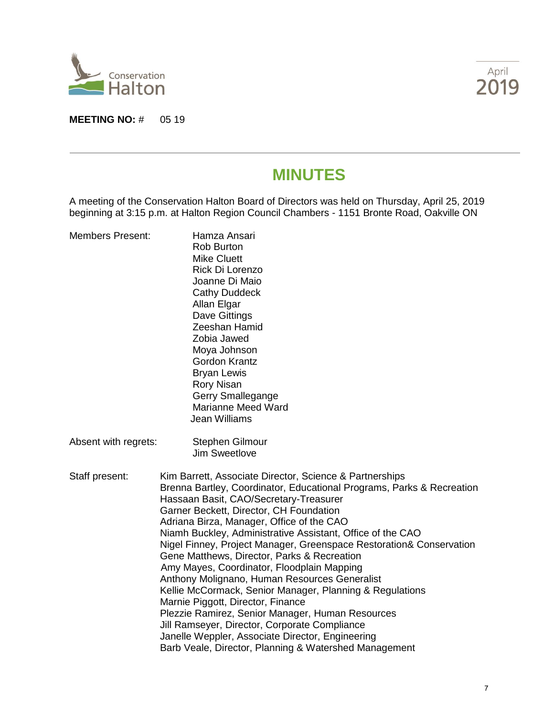

**MEETING NO: # 05 19** 



# **MINUTES**

A meeting of the Conservation Halton Board of Directors was held on Thursday, April 25, 2019 beginning at 3:15 p.m. at Halton Region Council Chambers - 1151 Bronte Road, Oakville ON

| <b>Members Present:</b> | Hamza Ansari<br><b>Rob Burton</b><br><b>Mike Cluett</b><br>Rick Di Lorenzo<br>Joanne Di Maio<br><b>Cathy Duddeck</b><br>Allan Elgar<br>Dave Gittings<br>Zeeshan Hamid<br>Zobia Jawed<br>Moya Johnson<br><b>Gordon Krantz</b><br><b>Bryan Lewis</b><br><b>Rory Nisan</b><br>Gerry Smallegange<br>Marianne Meed Ward<br><b>Jean Williams</b>                                                                                                                                                                                                                                                                                                                                                                                                                                                                                                                               |  |
|-------------------------|--------------------------------------------------------------------------------------------------------------------------------------------------------------------------------------------------------------------------------------------------------------------------------------------------------------------------------------------------------------------------------------------------------------------------------------------------------------------------------------------------------------------------------------------------------------------------------------------------------------------------------------------------------------------------------------------------------------------------------------------------------------------------------------------------------------------------------------------------------------------------|--|
| Absent with regrets:    | <b>Stephen Gilmour</b><br><b>Jim Sweetlove</b>                                                                                                                                                                                                                                                                                                                                                                                                                                                                                                                                                                                                                                                                                                                                                                                                                           |  |
| Staff present:          | Kim Barrett, Associate Director, Science & Partnerships<br>Brenna Bartley, Coordinator, Educational Programs, Parks & Recreation<br>Hassaan Basit, CAO/Secretary-Treasurer<br>Garner Beckett, Director, CH Foundation<br>Adriana Birza, Manager, Office of the CAO<br>Niamh Buckley, Administrative Assistant, Office of the CAO<br>Nigel Finney, Project Manager, Greenspace Restoration& Conservation<br>Gene Matthews, Director, Parks & Recreation<br>Amy Mayes, Coordinator, Floodplain Mapping<br>Anthony Molignano, Human Resources Generalist<br>Kellie McCormack, Senior Manager, Planning & Regulations<br>Marnie Piggott, Director, Finance<br>Plezzie Ramirez, Senior Manager, Human Resources<br>Jill Ramseyer, Director, Corporate Compliance<br>Janelle Weppler, Associate Director, Engineering<br>Barb Veale, Director, Planning & Watershed Management |  |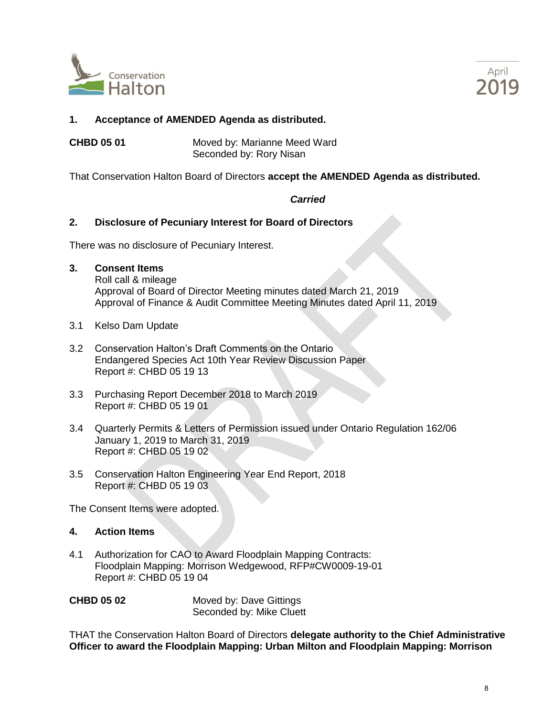



# **1. Acceptance of AMENDED Agenda as distributed.**

**CHBD 05 01** Moved by: Marianne Meed Ward Seconded by: Rory Nisan

That Conservation Halton Board of Directors **accept the AMENDED Agenda as distributed.**

# *Carried*

#### **2. Disclosure of Pecuniary Interest for Board of Directors**

There was no disclosure of Pecuniary Interest.

**3. Consent Items**

Roll call & mileage Approval of Board of Director Meeting minutes dated March 21, 2019 Approval of Finance & Audit Committee Meeting Minutes dated April 11, 2019

- 3.1 Kelso Dam Update
- 3.2 Conservation Halton's Draft Comments on the Ontario Endangered Species Act 10th Year Review Discussion Paper Report #: CHBD 05 19 13
- 3.3 Purchasing Report December 2018 to March 2019 Report #: CHBD 05 19 01
- 3.4 Quarterly Permits & Letters of Permission issued under Ontario Regulation 162/06 January 1, 2019 to March 31, 2019 Report #: CHBD 05 19 02
- 3.5 Conservation Halton Engineering Year End Report, 2018 Report #: CHBD 05 19 03

The Consent Items were adopted.

#### **4. Action Items**

4.1 Authorization for CAO to Award Floodplain Mapping Contracts: Floodplain Mapping: Morrison Wedgewood, RFP#CW0009-19-01 Report #: CHBD 05 19 04

| <b>CHBD 05 02</b> |  |
|-------------------|--|
|-------------------|--|

**Moved by: Dave Gittings** Seconded by: Mike Cluett

THAT the Conservation Halton Board of Directors **delegate authority to the Chief Administrative Officer to award the Floodplain Mapping: Urban Milton and Floodplain Mapping: Morrison**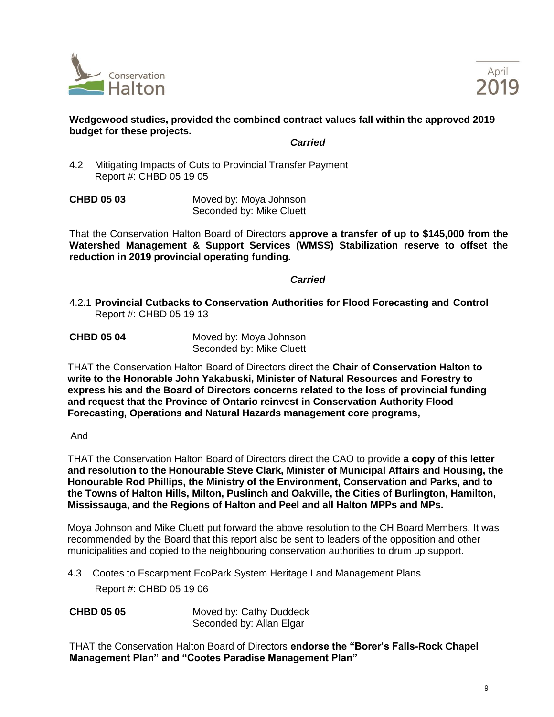



# **Wedgewood studies, provided the combined contract values fall within the approved 2019 budget for these projects.**

*Carried*

4.2 Mitigating Impacts of Cuts to Provincial Transfer Payment Report #: CHBD 05 19 05

**CHBD 05 03** Moved by: Moya Johnson Seconded by: Mike Cluett

That the Conservation Halton Board of Directors **approve a transfer of up to \$145,000 from the Watershed Management & Support Services (WMSS) Stabilization reserve to offset the reduction in 2019 provincial operating funding.** 

#### *Carried*

- 4.2.1 **Provincial Cutbacks to Conservation Authorities for Flood Forecasting and Control** Report #: CHBD 05 19 13
- **CHBD 05 04** Moved by: Moya Johnson Seconded by: Mike Cluett

THAT the Conservation Halton Board of Directors direct the **Chair of Conservation Halton to write to the Honorable John Yakabuski, Minister of Natural Resources and Forestry to express his and the Board of Directors concerns related to the loss of provincial funding and request that the Province of Ontario reinvest in Conservation Authority Flood Forecasting, Operations and Natural Hazards management core programs,** 

And

THAT the Conservation Halton Board of Directors direct the CAO to provide **a copy of this letter and resolution to the Honourable Steve Clark, Minister of Municipal Affairs and Housing, the Honourable Rod Phillips, the Ministry of the Environment, Conservation and Parks, and to the Towns of Halton Hills, Milton, Puslinch and Oakville, the Cities of Burlington, Hamilton, Mississauga, and the Regions of Halton and Peel and all Halton MPPs and MPs.**

Moya Johnson and Mike Cluett put forward the above resolution to the CH Board Members. It was recommended by the Board that this report also be sent to leaders of the opposition and other municipalities and copied to the neighbouring conservation authorities to drum up support.

- 4.3 Cootes to Escarpment EcoPark System Heritage Land Management Plans Report #: CHBD 05 19 06
- **CHBD 05 05** Moved by: Cathy Duddeck Seconded by: Allan Elgar

THAT the Conservation Halton Board of Directors **endorse the "Borer's Falls-Rock Chapel Management Plan" and "Cootes Paradise Management Plan"**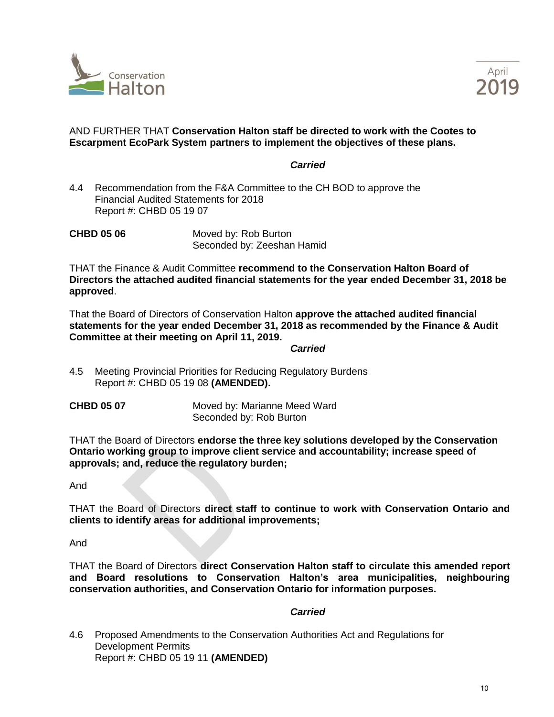



# AND FURTHER THAT **Conservation Halton staff be directed to work with the Cootes to Escarpment EcoPark System partners to implement the objectives of these plans.**

#### *Carried*

4.4 Recommendation from the F&A Committee to the CH BOD to approve the Financial Audited Statements for 2018 Report #: CHBD 05 19 07

**CHBD 05 06** Moved by: Rob Burton Seconded by: Zeeshan Hamid

THAT the Finance & Audit Committee **recommend to the Conservation Halton Board of Directors the attached audited financial statements for the year ended December 31, 2018 be approved**.

That the Board of Directors of Conservation Halton **approve the attached audited financial statements for the year ended December 31, 2018 as recommended by the Finance & Audit Committee at their meeting on April 11, 2019.** 

*Carried*

- 4.5 Meeting Provincial Priorities for Reducing Regulatory Burdens Report #: CHBD 05 19 08 **(AMENDED).**
- 

**CHBD 05 07** Moved by: Marianne Meed Ward Seconded by: Rob Burton

THAT the Board of Directors **endorse the three key solutions developed by the Conservation Ontario working group to improve client service and accountability; increase speed of approvals; and, reduce the regulatory burden;** 

And

THAT the Board of Directors **direct staff to continue to work with Conservation Ontario and clients to identify areas for additional improvements;**

And

THAT the Board of Directors **direct Conservation Halton staff to circulate this amended report and Board resolutions to Conservation Halton's area municipalities, neighbouring conservation authorities, and Conservation Ontario for information purposes.**

#### *Carried*

4.6 Proposed Amendments to the Conservation Authorities Act and Regulations for Development Permits Report #: CHBD 05 19 11 **(AMENDED)**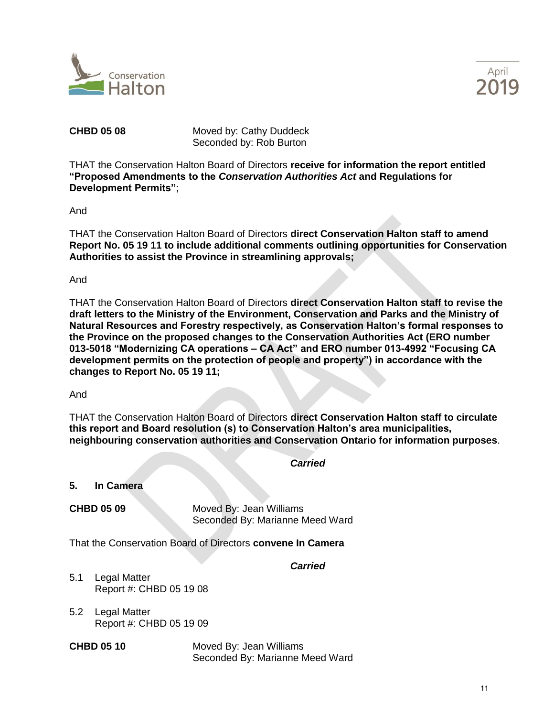



**CHBD 05 08** Moved by: Cathy Duddeck Seconded by: Rob Burton

THAT the Conservation Halton Board of Directors **receive for information the report entitled "Proposed Amendments to the** *Conservation Authorities Act* **and Regulations for Development Permits"**;

And

THAT the Conservation Halton Board of Directors **direct Conservation Halton staff to amend Report No. 05 19 11 to include additional comments outlining opportunities for Conservation Authorities to assist the Province in streamlining approvals;**

And

THAT the Conservation Halton Board of Directors **direct Conservation Halton staff to revise the draft letters to the Ministry of the Environment, Conservation and Parks and the Ministry of Natural Resources and Forestry respectively, as Conservation Halton's formal responses to the Province on the proposed changes to the Conservation Authorities Act (ERO number 013-5018 "Modernizing CA operations – CA Act" and ERO number 013-4992 "Focusing CA development permits on the protection of people and property") in accordance with the changes to Report No. 05 19 11;**

And

THAT the Conservation Halton Board of Directors **direct Conservation Halton staff to circulate this report and Board resolution (s) to Conservation Halton's area municipalities, neighbouring conservation authorities and Conservation Ontario for information purposes**.

*Carried*

**5. In Camera**

**CHBD 05 09** Moved By: Jean Williams Seconded By: Marianne Meed Ward

That the Conservation Board of Directors **convene In Camera**

*Carried*

- 5.1 Legal Matter Report #: CHBD 05 19 08
- 5.2 Legal Matter Report #: CHBD 05 19 09

**CHBD 05 10** Moved By: Jean Williams Seconded By: Marianne Meed Ward